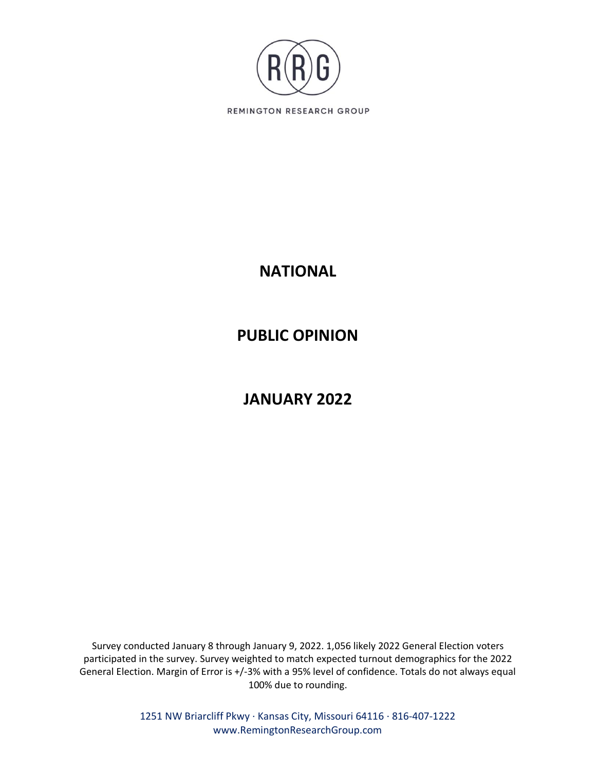

## **NATIONAL**

## **PUBLIC OPINION**

# **JANUARY 2022**

Survey conducted January 8 through January 9, 2022. 1,056 likely 2022 General Election voters participated in the survey. Survey weighted to match expected turnout demographics for the 2022 General Election. Margin of Error is +/-3% with a 95% level of confidence. Totals do not always equal 100% due to rounding.

> 1251 NW Briarcliff Pkwy ∙ Kansas City, Missouri 64116 ∙ 816-407-1222 www.RemingtonResearchGroup.com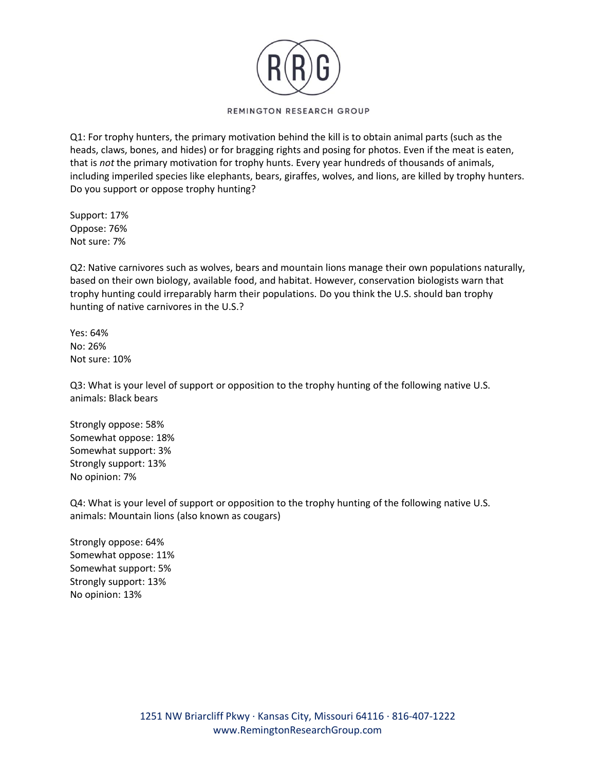

Q1: For trophy hunters, the primary motivation behind the kill is to obtain animal parts (such as the heads, claws, bones, and hides) or for bragging rights and posing for photos. Even if the meat is eaten, that is *not* the primary motivation for trophy hunts. Every year hundreds of thousands of animals, including imperiled species like elephants, bears, giraffes, wolves, and lions, are killed by trophy hunters. Do you support or oppose trophy hunting?

Support: 17% Oppose: 76% Not sure: 7%

Q2: Native carnivores such as wolves, bears and mountain lions manage their own populations naturally, based on their own biology, available food, and habitat. However, conservation biologists warn that trophy hunting could irreparably harm their populations. Do you think the U.S. should ban trophy hunting of native carnivores in the U.S.?

Yes: 64% No: 26% Not sure: 10%

Q3: What is your level of support or opposition to the trophy hunting of the following native U.S. animals: Black bears

Strongly oppose: 58% Somewhat oppose: 18% Somewhat support: 3% Strongly support: 13% No opinion: 7%

Q4: What is your level of support or opposition to the trophy hunting of the following native U.S. animals: Mountain lions (also known as cougars)

Strongly oppose: 64% Somewhat oppose: 11% Somewhat support: 5% Strongly support: 13% No opinion: 13%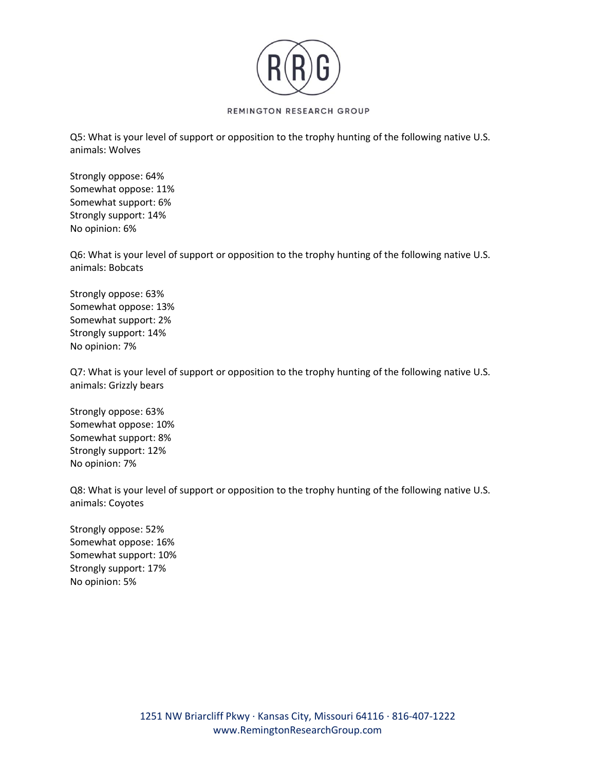

Q5: What is your level of support or opposition to the trophy hunting of the following native U.S. animals: Wolves

Strongly oppose: 64% Somewhat oppose: 11% Somewhat support: 6% Strongly support: 14% No opinion: 6%

Q6: What is your level of support or opposition to the trophy hunting of the following native U.S. animals: Bobcats

Strongly oppose: 63% Somewhat oppose: 13% Somewhat support: 2% Strongly support: 14% No opinion: 7%

Q7: What is your level of support or opposition to the trophy hunting of the following native U.S. animals: Grizzly bears

Strongly oppose: 63% Somewhat oppose: 10% Somewhat support: 8% Strongly support: 12% No opinion: 7%

Q8: What is your level of support or opposition to the trophy hunting of the following native U.S. animals: Coyotes

Strongly oppose: 52% Somewhat oppose: 16% Somewhat support: 10% Strongly support: 17% No opinion: 5%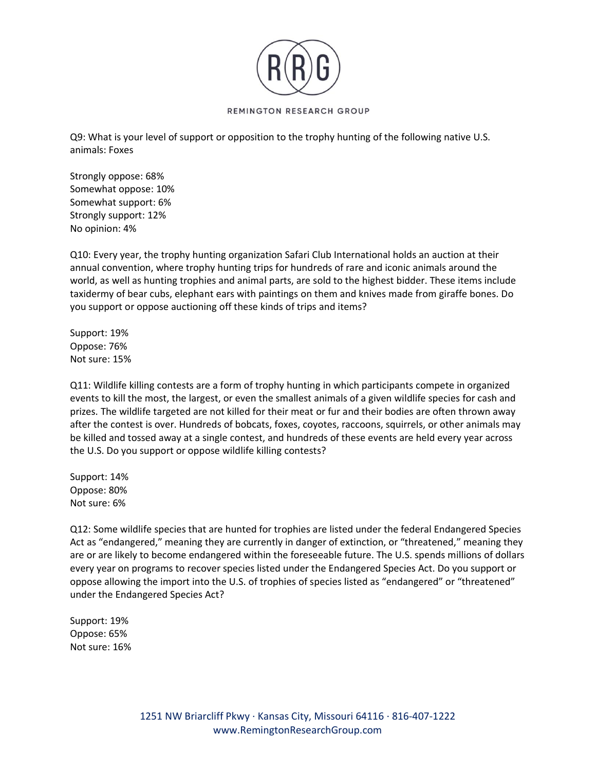

Q9: What is your level of support or opposition to the trophy hunting of the following native U.S. animals: Foxes

Strongly oppose: 68% Somewhat oppose: 10% Somewhat support: 6% Strongly support: 12% No opinion: 4%

Q10: Every year, the trophy hunting organization Safari Club International holds an auction at their annual convention, where trophy hunting trips for hundreds of rare and iconic animals around the world, as well as hunting trophies and animal parts, are sold to the highest bidder. These items include taxidermy of bear cubs, elephant ears with paintings on them and knives made from giraffe bones. Do you support or oppose auctioning off these kinds of trips and items?

Support: 19% Oppose: 76% Not sure: 15%

Q11: Wildlife killing contests are a form of trophy hunting in which participants compete in organized events to kill the most, the largest, or even the smallest animals of a given wildlife species for cash and prizes. The wildlife targeted are not killed for their meat or fur and their bodies are often thrown away after the contest is over. Hundreds of bobcats, foxes, coyotes, raccoons, squirrels, or other animals may be killed and tossed away at a single contest, and hundreds of these events are held every year across the U.S. Do you support or oppose wildlife killing contests?

Support: 14% Oppose: 80% Not sure: 6%

Q12: Some wildlife species that are hunted for trophies are listed under the federal Endangered Species Act as "endangered," meaning they are currently in danger of extinction, or "threatened," meaning they are or are likely to become endangered within the foreseeable future. The U.S. spends millions of dollars every year on programs to recover species listed under the Endangered Species Act. Do you support or oppose allowing the import into the U.S. of trophies of species listed as "endangered" or "threatened" under the Endangered Species Act?

Support: 19% Oppose: 65% Not sure: 16%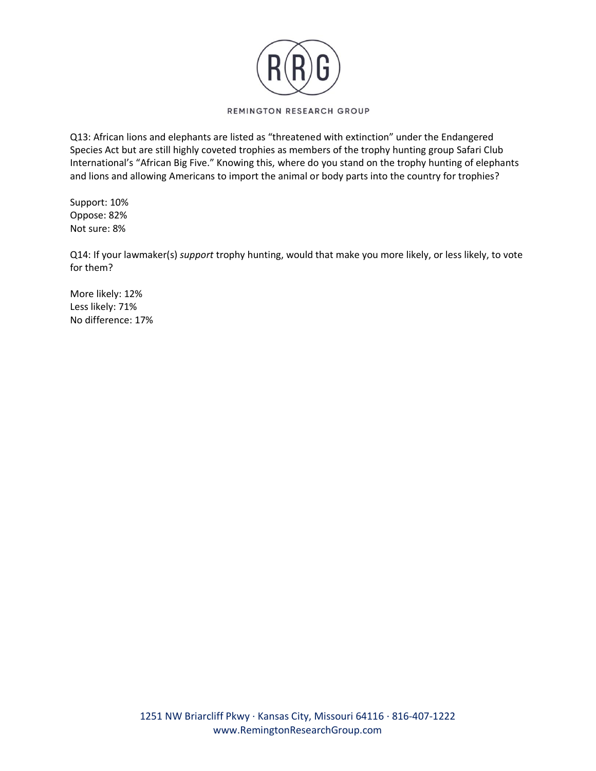

Q13: African lions and elephants are listed as "threatened with extinction" under the Endangered Species Act but are still highly coveted trophies as members of the trophy hunting group Safari Club International's "African Big Five." Knowing this, where do you stand on the trophy hunting of elephants and lions and allowing Americans to import the animal or body parts into the country for trophies?

Support: 10% Oppose: 82% Not sure: 8%

Q14: If your lawmaker(s) *support* trophy hunting, would that make you more likely, or less likely, to vote for them?

More likely: 12% Less likely: 71% No difference: 17%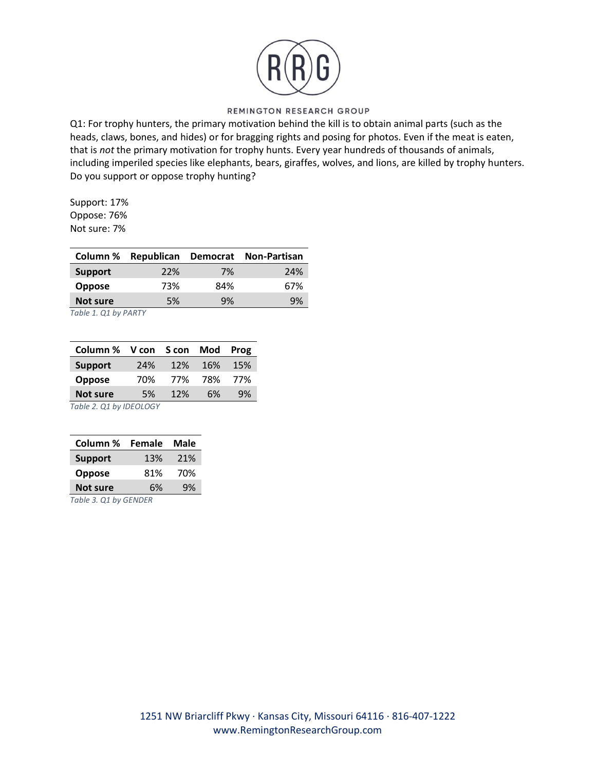

Q1: For trophy hunters, the primary motivation behind the kill is to obtain animal parts (such as the heads, claws, bones, and hides) or for bragging rights and posing for photos. Even if the meat is eaten, that is *not* the primary motivation for trophy hunts. Every year hundreds of thousands of animals, including imperiled species like elephants, bears, giraffes, wolves, and lions, are killed by trophy hunters. Do you support or oppose trophy hunting?

Support: 17% Oppose: 76% Not sure: 7%

|                |     |     | Column % Republican Democrat Non-Partisan |
|----------------|-----|-----|-------------------------------------------|
| <b>Support</b> | 22% | 7%  | 24%                                       |
| <b>Oppose</b>  | 73% | 84% | 67%                                       |
| Not sure       | 5%  | 9%  | 9%                                        |
|                |     |     |                                           |

*Table 1. Q1 by PARTY*

| Column % V con S con Mod |     |     |     | Prog |
|--------------------------|-----|-----|-----|------|
| <b>Support</b>           | 24% | 12% | 16% | 15%  |
| Oppose                   | 70% | 77% | 78% | 77%  |
| <b>Not sure</b>          | 5%  | 12% | 6%  | 9%   |
| Table 2. Q1 by IDEOLOGY  |     |     |     |      |

| Column %              | Female | Male |  |  |
|-----------------------|--------|------|--|--|
| <b>Support</b>        | 13%    | 21%  |  |  |
| <b>Oppose</b>         | 81%    | 70%  |  |  |
| <b>Not sure</b>       | 9%     |      |  |  |
| Table 3. Q1 by GENDER |        |      |  |  |

1251 NW Briarcliff Pkwy ∙ Kansas City, Missouri 64116 ∙ 816-407-1222 www.RemingtonResearchGroup.com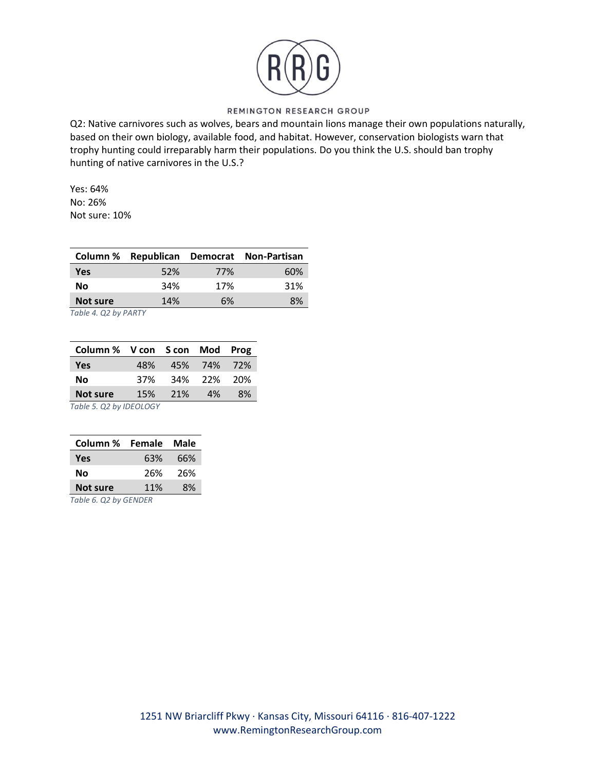

Q2: Native carnivores such as wolves, bears and mountain lions manage their own populations naturally, based on their own biology, available food, and habitat. However, conservation biologists warn that trophy hunting could irreparably harm their populations. Do you think the U.S. should ban trophy hunting of native carnivores in the U.S.?

Yes: 64% No: 26% Not sure: 10%

|            |     |     | Column % Republican Democrat Non-Partisan |
|------------|-----|-----|-------------------------------------------|
| <b>Yes</b> | 52% | 77% | 60%                                       |
| No         | 34% | 17% | 31%                                       |
| Not sure   | 14% | 6%  | 8%                                        |
|            |     |     |                                           |

*Table 4. Q2 by PARTY*

| Column % V con S con Mod Prog |     |     |             |     |
|-------------------------------|-----|-----|-------------|-----|
| <b>Yes</b>                    | 48% |     | 45% 74% 72% |     |
| No                            | 37% |     | 34% 22% 20% |     |
| <b>Not sure</b>               | 15% | 21% | 4%          | .8% |
| Table 5. Q2 by IDEOLOGY       |     |     |             |     |

| Column % Female Male |     |     |
|----------------------|-----|-----|
| Yes                  | 63% | 66% |
| No                   | 26% | 26% |
| <b>Not sure</b>      | 11% | 8%  |
| _ _ _ _ .            |     |     |

*Table 6. Q2 by GENDER*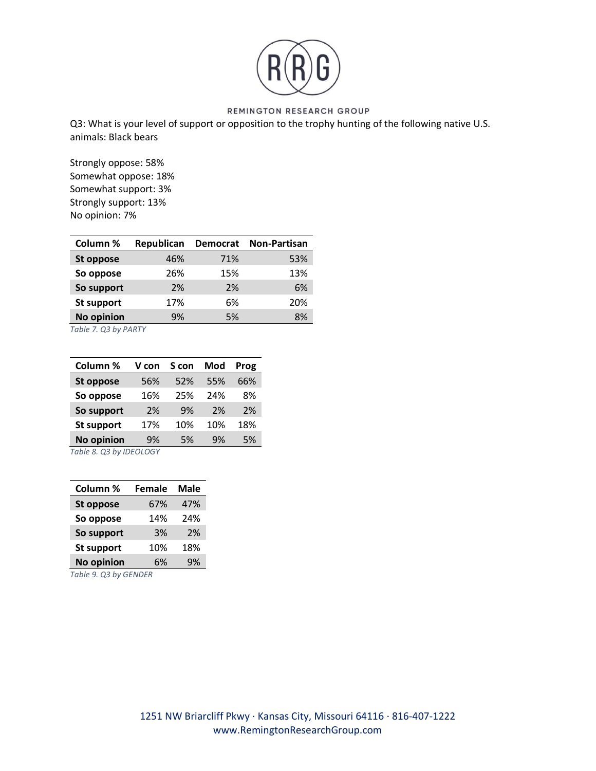

Q3: What is your level of support or opposition to the trophy hunting of the following native U.S. animals: Black bears

Strongly oppose: 58% Somewhat oppose: 18% Somewhat support: 3% Strongly support: 13% No opinion: 7%

| Column %          | Republican | <b>Democrat</b> | <b>Non-Partisan</b> |
|-------------------|------------|-----------------|---------------------|
| St oppose         | 46%        | 71%             | 53%                 |
| So oppose         | 26%        | 15%             | 13%                 |
| So support        | 2%         | 2%              | 6%                  |
| St support        | 17%        | 6%              | 20%                 |
| <b>No opinion</b> | 9%         | 5%              | 8%                  |

*Table 7. Q3 by PARTY*

| Column %                        | V con | S con | Mod | Prog |  |
|---------------------------------|-------|-------|-----|------|--|
| St oppose                       | 56%   | 52%   | 55% | 66%  |  |
| So oppose                       | 16%   | 25%   | 24% | 8%   |  |
| So support                      | 2%    | 9%    | 2%  | 2%   |  |
| <b>St support</b>               | 17%   | 10%   | 10% | 18%  |  |
| <b>No opinion</b>               | 9%    | 5%    | 9%  | 5%   |  |
| $T_0 h l_0 0 0 1 h_1 1000 1001$ |       |       |     |      |  |

*Table 8. Q3 by IDEOLOGY*

| Column %                   | <b>Female</b> | Male |  |  |
|----------------------------|---------------|------|--|--|
| <b>St oppose</b>           | 67%           | 47%  |  |  |
| So oppose                  | 14%           | 24%  |  |  |
| So support                 | 3%            | 2%   |  |  |
| <b>St support</b>          | 10%           | 18%  |  |  |
| <b>No opinion</b>          | 6%            | 9%   |  |  |
| $T_0$ blo $0.03$ by CENDED |               |      |  |  |

*Table 9. Q3 by GENDER*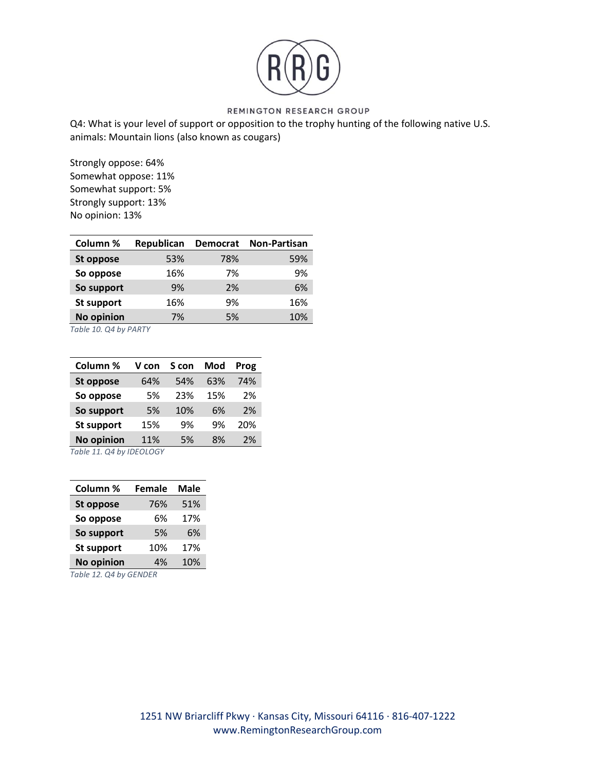

Q4: What is your level of support or opposition to the trophy hunting of the following native U.S. animals: Mountain lions (also known as cougars)

Strongly oppose: 64% Somewhat oppose: 11% Somewhat support: 5% Strongly support: 13% No opinion: 13%

| Column %          | Republican | <b>Democrat</b> | <b>Non-Partisan</b> |
|-------------------|------------|-----------------|---------------------|
| St oppose         | 53%        | 78%             | 59%                 |
| So oppose         | 16%        | 7%              | 9%                  |
| So support        | 9%         | 2%              | 6%                  |
| St support        | 16%        | 9%              | 16%                 |
| <b>No opinion</b> | 7%         | 5%              | 10%                 |

*Table 10. Q4 by PARTY*

| Column %                                   | V con | S con | Mod | Prog |
|--------------------------------------------|-------|-------|-----|------|
| St oppose                                  | 64%   | 54%   | 63% | 74%  |
| So oppose                                  | 5%    | 23%   | 15% | 2%   |
| So support                                 | 5%    | 10%   | 6%  | 2%   |
| <b>St support</b>                          | 15%   | 9%    | 9%  | 20%  |
| No opinion                                 | 11%   | 5%    | 8%  | 2%   |
| $T_{\alpha}$ blo 11 $\alpha$ 4 by IDEQIACV |       |       |     |      |

*Table 11. Q4 by IDEOLOGY*

| Column %               | <b>Female</b> | <b>Male</b> |  |  |
|------------------------|---------------|-------------|--|--|
| <b>St oppose</b>       | 76%           | 51%         |  |  |
| So oppose              | 6%            | 17%         |  |  |
| So support             | 5%            | 6%          |  |  |
| St support             | 10%           | 17%         |  |  |
| <b>No opinion</b>      | 4%            | 10%         |  |  |
| Table 12. Q4 by GENDER |               |             |  |  |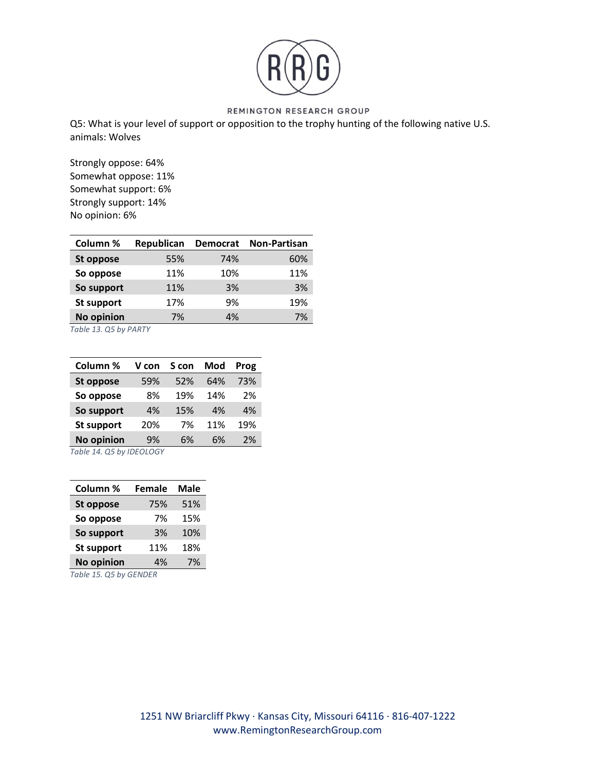

Q5: What is your level of support or opposition to the trophy hunting of the following native U.S. animals: Wolves

Strongly oppose: 64% Somewhat oppose: 11% Somewhat support: 6% Strongly support: 14% No opinion: 6%

| Column %          | Republican | <b>Democrat</b> | <b>Non-Partisan</b> |
|-------------------|------------|-----------------|---------------------|
| St oppose         | 55%        | 74%             | 60%                 |
| So oppose         | 11%        | 10%             | 11%                 |
| So support        | 11%        | 3%              | 3%                  |
| St support        | 17%        | 9%              | 19%                 |
| <b>No opinion</b> | 7%         | 4%              | 7%                  |

*Table 13. Q5 by PARTY*

| Column %                           | V con | S con | Mod | Prog |  |
|------------------------------------|-------|-------|-----|------|--|
| St oppose                          | 59%   | 52%   | 64% | 73%  |  |
| So oppose                          | 8%    | 19%   | 14% | 2%   |  |
| So support                         | 4%    | 15%   | 4%  | 4%   |  |
| <b>St support</b>                  | 20%   | 7%    | 11% | 19%  |  |
| <b>No opinion</b>                  | 9%    | 6%    | 6%  | 2%   |  |
| $T_{\alpha}$ blo 11 OF by IDEOLOCY |       |       |     |      |  |

*Table 14. Q5 by IDEOLOGY*

| Column %               | <b>Female</b> | Male |  |  |
|------------------------|---------------|------|--|--|
| <b>St oppose</b>       | 75%           | 51%  |  |  |
| So oppose              | 7%            | 15%  |  |  |
| So support             | 3%            | 10%  |  |  |
| St support             | 11%           | 18%  |  |  |
| <b>No opinion</b>      | 4%            | 7%   |  |  |
| Table 15. Q5 by GENDER |               |      |  |  |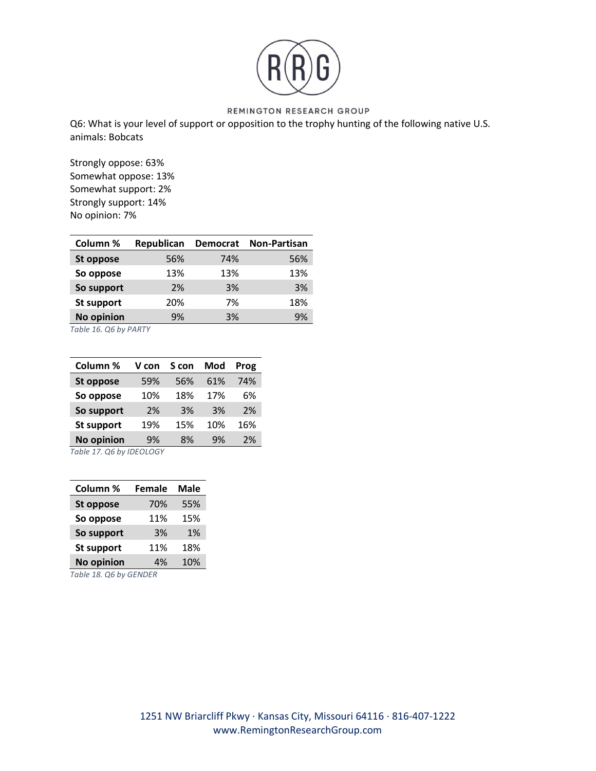

Q6: What is your level of support or opposition to the trophy hunting of the following native U.S. animals: Bobcats

Strongly oppose: 63% Somewhat oppose: 13% Somewhat support: 2% Strongly support: 14% No opinion: 7%

| Column %          | Republican | <b>Democrat</b> | <b>Non-Partisan</b> |
|-------------------|------------|-----------------|---------------------|
| St oppose         | 56%        | 74%             | 56%                 |
| So oppose         | 13%        | 13%             | 13%                 |
| So support        | 2%         | 3%              | 3%                  |
| St support        | 20%        | 7%              | 18%                 |
| <b>No opinion</b> | 9%         | 3%              | 9%                  |

*Table 16. Q6 by PARTY*

| Column %                                            | V con | S con | Mod | Prog |  |
|-----------------------------------------------------|-------|-------|-----|------|--|
| St oppose                                           | 59%   | 56%   | 61% | 74%  |  |
| So oppose                                           | 10%   | 18%   | 17% | 6%   |  |
| So support                                          | 2%    | 3%    | 3%  | 2%   |  |
| <b>St support</b>                                   | 19%   | 15%   | 10% | 16%  |  |
| <b>No opinion</b>                                   | 9%    | 8%    | 9%  | 2%   |  |
| $T_{\alpha}$ blo 17 $\alpha$ c by IDEQI $\alpha$ CV |       |       |     |      |  |

*Table 17. Q6 by IDEOLOGY*

| Column %               | <b>Female</b> | <b>Male</b> |  |  |
|------------------------|---------------|-------------|--|--|
| <b>St oppose</b>       | 70%           | 55%         |  |  |
| So oppose              | 11%           | 15%         |  |  |
| So support             | 3%            | 1%          |  |  |
| St support             | 11%           | 18%         |  |  |
| <b>No opinion</b>      | 4%            | 10%         |  |  |
| Table 18. Q6 by GENDER |               |             |  |  |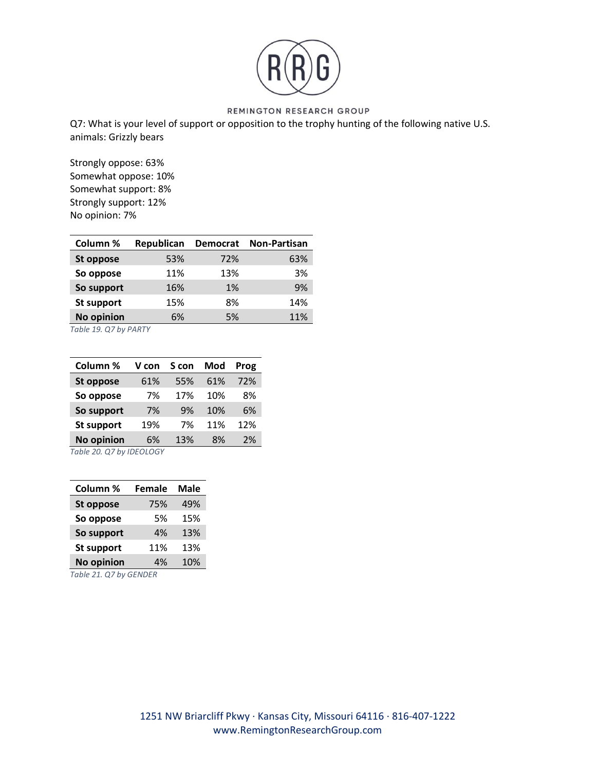

Q7: What is your level of support or opposition to the trophy hunting of the following native U.S. animals: Grizzly bears

Strongly oppose: 63% Somewhat oppose: 10% Somewhat support: 8% Strongly support: 12% No opinion: 7%

| Column %          | Republican | <b>Democrat</b> | <b>Non-Partisan</b> |
|-------------------|------------|-----------------|---------------------|
| St oppose         | 53%        | 72%             | 63%                 |
| So oppose         | 11%        | 13%             | 3%                  |
| So support        | 16%        | 1%              | 9%                  |
| St support        | 15%        | 8%              | 14%                 |
| <b>No opinion</b> | 6%         | 5%              | 11%                 |

*Table 19. Q7 by PARTY*

| Column %                     | V con | S con | Mod | Prog |  |
|------------------------------|-------|-------|-----|------|--|
| St oppose                    | 61%   | 55%   | 61% | 72%  |  |
| So oppose                    | 7%    | 17%   | 10% | 8%   |  |
| So support                   | 7%    | 9%    | 10% | 6%   |  |
| <b>St support</b>            | 19%   | 7%    | 11% | 12%  |  |
| <b>No opinion</b>            | 6%    | 13%   | 8%  | 2%   |  |
| $T_0$ blo 20 07 by IDEOI OCV |       |       |     |      |  |

*Table 20. Q7 by IDEOLOGY*

| Column %               | <b>Female</b> | Male |  |  |
|------------------------|---------------|------|--|--|
| <b>St oppose</b>       | 75%           | 49%  |  |  |
| So oppose              | 5%            | 15%  |  |  |
| So support             | 4%            | 13%  |  |  |
| St support             | 11%           | 13%  |  |  |
| <b>No opinion</b>      | 4%            | 10%  |  |  |
| Table 21. Q7 by GENDER |               |      |  |  |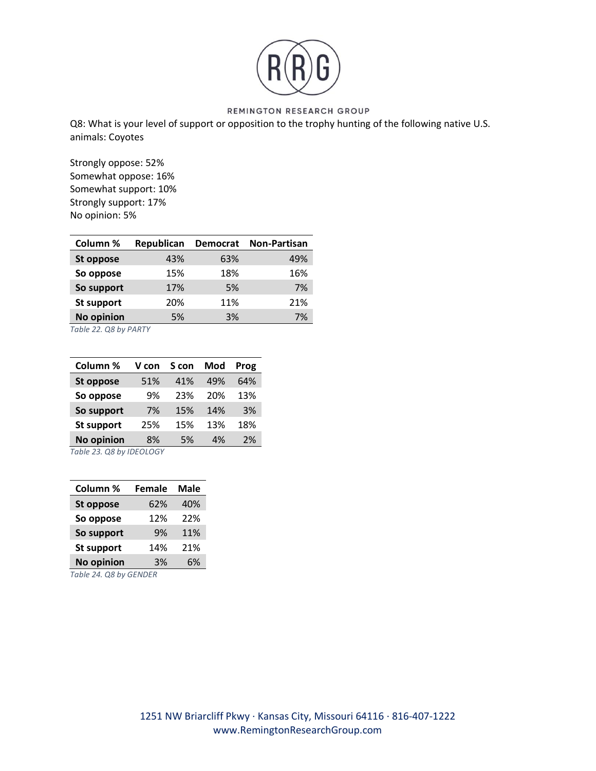

Q8: What is your level of support or opposition to the trophy hunting of the following native U.S. animals: Coyotes

Strongly oppose: 52% Somewhat oppose: 16% Somewhat support: 10% Strongly support: 17% No opinion: 5%

| Column %          | Republican | <b>Democrat</b> | <b>Non-Partisan</b> |
|-------------------|------------|-----------------|---------------------|
| St oppose         | 43%        | 63%             | 49%                 |
| So oppose         | 15%        | 18%             | 16%                 |
| So support        | 17%        | 5%              | 7%                  |
| St support        | 20%        | 11%             | 21%                 |
| <b>No opinion</b> | 5%         | 3%              | 7%                  |

*Table 22. Q8 by PARTY*

| Column %                             | V con | S con | Mod | Prog |  |
|--------------------------------------|-------|-------|-----|------|--|
| St oppose                            | 51%   | 41%   | 49% | 64%  |  |
| So oppose                            | 9%    | 23%   | 20% | 13%  |  |
| So support                           | 7%    | 15%   | 14% | 3%   |  |
| <b>St support</b>                    | 25%   | 15%   | 13% | 18%  |  |
| <b>No opinion</b>                    | 8%    | 5%    | 4%  | 2%   |  |
| $T_0$ blo 22 $\bigcap$ 0 bu IDENINCV |       |       |     |      |  |

*Table 23. Q8 by IDEOLOGY*

| Column %               | <b>Female</b> | Male |  |  |
|------------------------|---------------|------|--|--|
| <b>St oppose</b>       | 62%           | 40%  |  |  |
| So oppose              | 12%           | 22%  |  |  |
| So support             | 9%            | 11%  |  |  |
| <b>St support</b>      | 14%           | 21%  |  |  |
| <b>No opinion</b>      | 3%            | 6%   |  |  |
| Table 24. Q8 by GENDER |               |      |  |  |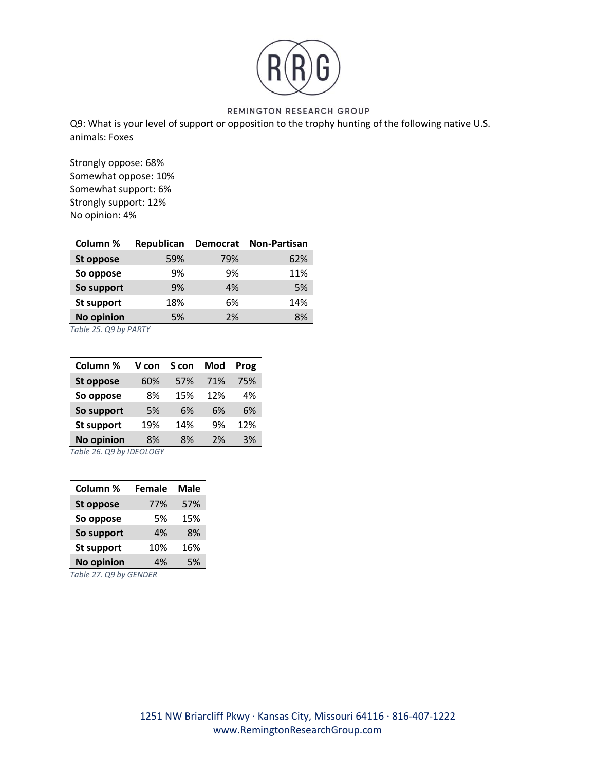

Q9: What is your level of support or opposition to the trophy hunting of the following native U.S. animals: Foxes

Strongly oppose: 68% Somewhat oppose: 10% Somewhat support: 6% Strongly support: 12% No opinion: 4%

| Column %   | Republican | <b>Democrat</b> | <b>Non-Partisan</b> |
|------------|------------|-----------------|---------------------|
| St oppose  | 59%        | 79%             | 62%                 |
| So oppose  | 9%         | 9%              | 11%                 |
| So support | 9%         | 4%              | 5%                  |
| St support | 18%        | 6%              | 14%                 |
| No opinion | 5%         | 2%              | 8%                  |

*Table 25. Q9 by PARTY*

| Column %                                                | V con | S con | Mod | Prog |  |
|---------------------------------------------------------|-------|-------|-----|------|--|
| St oppose                                               | 60%   | 57%   | 71% | 75%  |  |
| So oppose                                               | 8%    | 15%   | 12% | 4%   |  |
| So support                                              | 5%    | 6%    | 6%  | 6%   |  |
| <b>St support</b>                                       | 19%   | 14%   | 9%  | 12%  |  |
| <b>No opinion</b>                                       | 8%    | 8%    | 2%  | 3%   |  |
| $T_0$ blo $2C$ $\Omega$ 0 by IDE $\Omega$ I $\Omega$ CV |       |       |     |      |  |

*Table 26. Q9 by IDEOLOGY*

| Column %                      | <b>Female</b> | Male |  |  |
|-------------------------------|---------------|------|--|--|
| <b>St oppose</b>              | 77%           | 57%  |  |  |
| So oppose                     | 5%            | 15%  |  |  |
| So support                    | 4%            | 8%   |  |  |
| <b>St support</b>             | 16%           |      |  |  |
| <b>No opinion</b><br>5%<br>4% |               |      |  |  |
| Table 27. Q9 by GENDER        |               |      |  |  |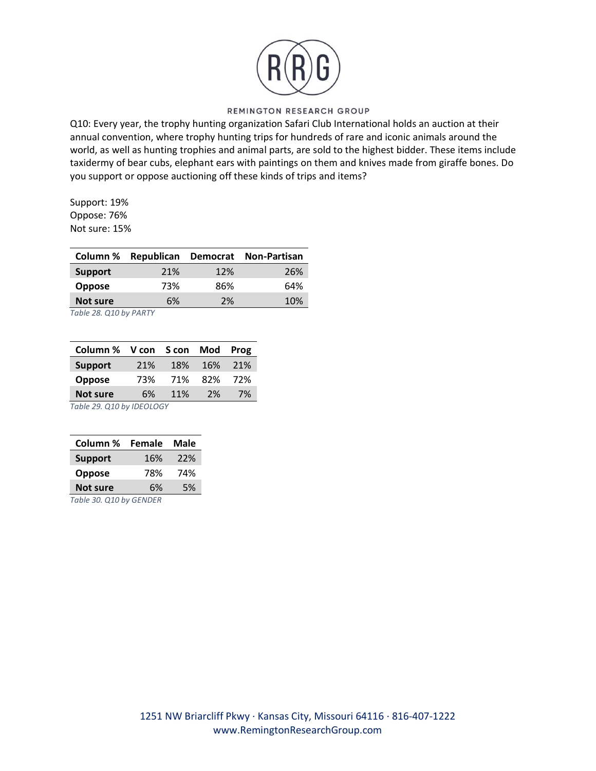

Q10: Every year, the trophy hunting organization Safari Club International holds an auction at their annual convention, where trophy hunting trips for hundreds of rare and iconic animals around the world, as well as hunting trophies and animal parts, are sold to the highest bidder. These items include taxidermy of bear cubs, elephant ears with paintings on them and knives made from giraffe bones. Do you support or oppose auctioning off these kinds of trips and items?

Support: 19% Oppose: 76% Not sure: 15%

| Column %       |     |     | Republican Democrat Non-Partisan |
|----------------|-----|-----|----------------------------------|
| <b>Support</b> | 21% | 12% | 26%                              |
| <b>Oppose</b>  | 73% | 86% | 64%                              |
| Not sure       | 6%  | 2%  | 10%                              |

*Table 28. Q10 by PARTY*

| Column % V con S con Mod                   |     |     |     | Prog |  |
|--------------------------------------------|-----|-----|-----|------|--|
| <b>Support</b><br>21%<br>18%<br>16%<br>21% |     |     |     |      |  |
| Oppose                                     | 73% | 71% | 82% | 72%  |  |
| <b>Not sure</b><br>11%<br>2%<br>6%<br>7%   |     |     |     |      |  |
| Table 29. Q10 by IDEOLOGY                  |     |     |     |      |  |

| Column %                | Male |
|-------------------------|------|
| <b>Support</b>          | 22%  |
| <b>Oppose</b>           | 74%  |
| <b>Not sure</b>         | 5%   |
| Table 30. Q10 by GENDER |      |

1251 NW Briarcliff Pkwy ∙ Kansas City, Missouri 64116 ∙ 816-407-1222 www.RemingtonResearchGroup.com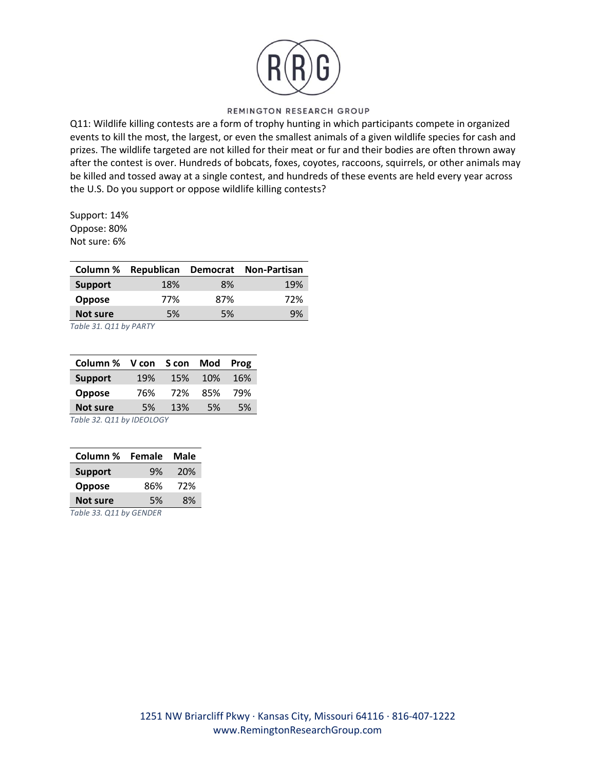

Q11: Wildlife killing contests are a form of trophy hunting in which participants compete in organized events to kill the most, the largest, or even the smallest animals of a given wildlife species for cash and prizes. The wildlife targeted are not killed for their meat or fur and their bodies are often thrown away after the contest is over. Hundreds of bobcats, foxes, coyotes, raccoons, squirrels, or other animals may be killed and tossed away at a single contest, and hundreds of these events are held every year across the U.S. Do you support or oppose wildlife killing contests?

Support: 14% Oppose: 80% Not sure: 6%

| 18%<br><b>Support</b><br>8%<br>77%<br>87%<br><b>Oppose</b> | Column % |    |    | Republican Democrat Non-Partisan |
|------------------------------------------------------------|----------|----|----|----------------------------------|
|                                                            |          |    |    | 19%                              |
|                                                            |          |    |    | 72%                              |
|                                                            | Not sure | 5% | 5% | 9%                               |

*Table 31. Q11 by PARTY*

| Column % V con S con                                 |     |     | Mod        | Prog |  |
|------------------------------------------------------|-----|-----|------------|------|--|
| <b>Support</b>                                       | 19% | 15% | <b>10%</b> | 16%  |  |
| <b>Oppose</b>                                        | 76% | 72% | 85%        | 79%  |  |
| <b>Not sure</b>                                      | 5%  | 13% | .5%        | 5%   |  |
| $T_0 h l_0$ 22 $Q_1$ $A_2$ $h_1$ , $D_1$ $D_2$ $D_1$ |     |     |            |      |  |

*Table 32. Q11 by IDEOLOGY*

| Column %                | Male |  |  |
|-------------------------|------|--|--|
| <b>Support</b>          | 20%  |  |  |
| Oppose                  | 72%  |  |  |
| <b>Not sure</b>         | 8%   |  |  |
| Table 33. Q11 by GENDER |      |  |  |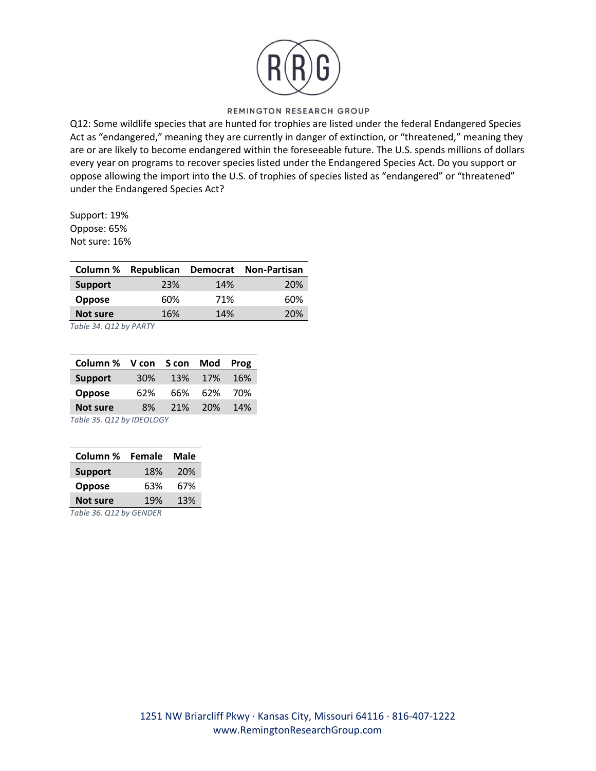

Q12: Some wildlife species that are hunted for trophies are listed under the federal Endangered Species Act as "endangered," meaning they are currently in danger of extinction, or "threatened," meaning they are or are likely to become endangered within the foreseeable future. The U.S. spends millions of dollars every year on programs to recover species listed under the Endangered Species Act. Do you support or oppose allowing the import into the U.S. of trophies of species listed as "endangered" or "threatened" under the Endangered Species Act?

Support: 19% Oppose: 65% Not sure: 16%

| 23%<br>14%<br><b>Support</b>  | Republican Democrat Non-Partisan |
|-------------------------------|----------------------------------|
|                               | <b>20%</b>                       |
| 71%<br>60%<br><b>Oppose</b>   | 60%                              |
| 14%<br><b>Not sure</b><br>16% | 20%                              |

*Table 34. Q12 by PARTY*

| Column % V con S con Mod Prog          |        |     |         |     |  |
|----------------------------------------|--------|-----|---------|-----|--|
| <b>Support</b>                         | $30\%$ |     | 13% 17% | 16% |  |
| <b>Oppose</b>                          | 62%    | 66% | 62%     | 70% |  |
| <b>Not sure</b>                        | 8%     |     | 21% 20% | 14% |  |
| $T_{\alpha}$ blo IE $(11)$ by IDEOIOCV |        |     |         |     |  |

*Table 35. Q12 by IDEOLOGY*

| Column %                      | Male |  |  |  |
|-------------------------------|------|--|--|--|
| <b>Support</b>                | 20%  |  |  |  |
| Oppose                        | 67%  |  |  |  |
| 13%<br><b>Not sure</b><br>19% |      |  |  |  |
| Table 36. Q12 by GENDER       |      |  |  |  |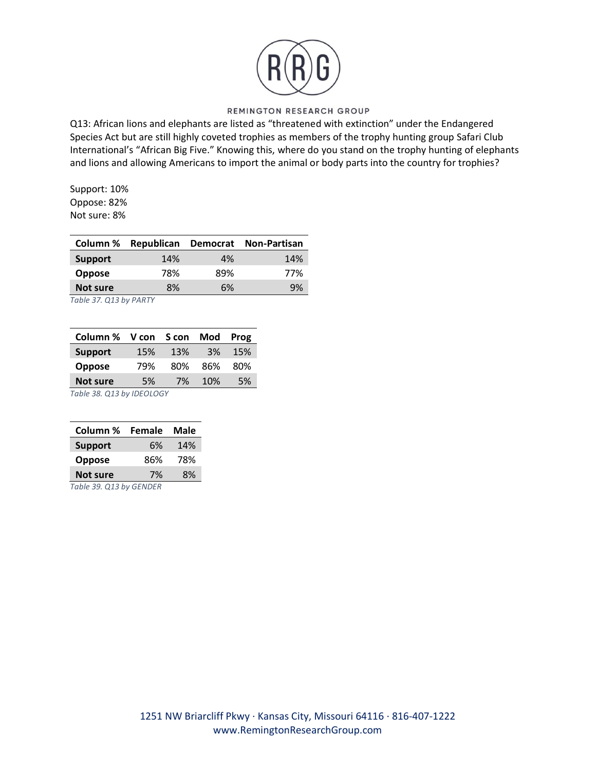

Q13: African lions and elephants are listed as "threatened with extinction" under the Endangered Species Act but are still highly coveted trophies as members of the trophy hunting group Safari Club International's "African Big Five." Knowing this, where do you stand on the trophy hunting of elephants and lions and allowing Americans to import the animal or body parts into the country for trophies?

Support: 10% Oppose: 82% Not sure: 8%

| 14%<br><b>Support</b><br>4% | 14% |
|-----------------------------|-----|
| 78%<br>89%<br>Oppose        | 77% |
| 8%<br><b>Not sure</b><br>6% | 9%  |

*Table 37. Q13 by PARTY*

| Column % V con S con      |     |     | Mod        | Prog |
|---------------------------|-----|-----|------------|------|
| <b>Support</b>            | 15% | 13% | 3%         | 15%  |
| <b>Oppose</b>             | 79% | 80% | 86%        | 80%  |
| <b>Not sure</b>           | 5%  | 7%  | <b>10%</b> | 5%   |
| Table 38. Q13 by IDEOLOGY |     |     |            |      |

| Column %                       | Female | <b>Male</b> |
|--------------------------------|--------|-------------|
| <b>Support</b>                 | 6%     | 14%         |
| <b>Oppose</b>                  | 86%    | 78%         |
| <b>Not sure</b>                | 7%     | 8%          |
| $T - L = 20$ $Q + 2L$ $L = 2L$ |        |             |

*Table 39. Q13 by GENDER*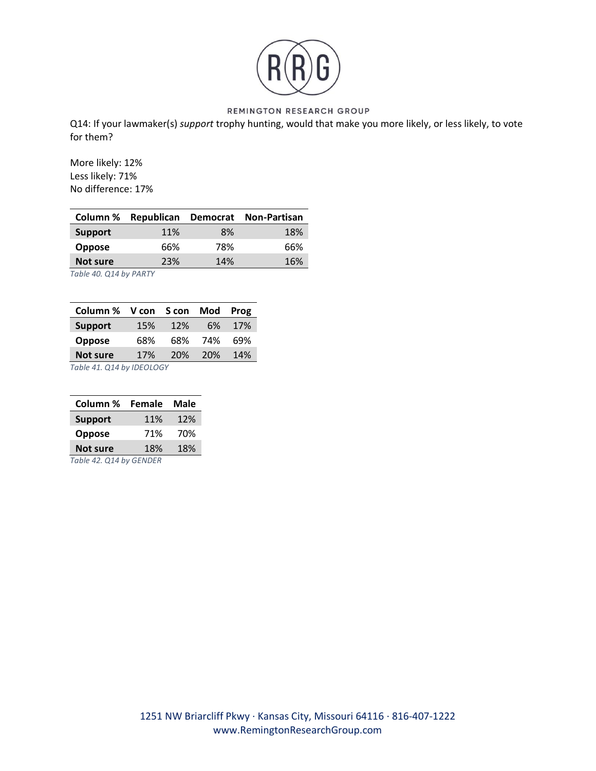

Q14: If your lawmaker(s) *support* trophy hunting, would that make you more likely, or less likely, to vote for them?

More likely: 12% Less likely: 71% No difference: 17%

| Column %       |     |     | Republican Democrat Non-Partisan |
|----------------|-----|-----|----------------------------------|
| <b>Support</b> | 11% | 8%  | 18%                              |
| Oppose         | 66% | 78% | 66%                              |
| Not sure       | 23% | 14% | 16%                              |
|                |     |     |                                  |

*Table 40. Q14 by PARTY*

| Column % V con S con      |            |     | Mod        | Prog |
|---------------------------|------------|-----|------------|------|
| <b>Support</b>            | 15%        | 12% | 6%         | 17%  |
| <b>Oppose</b>             | 68%        | 68% | 74%        | 69%  |
| <b>Not sure</b>           | <b>17%</b> | 20% | <b>20%</b> | 14%  |
| Table 41. Q14 by IDEOLOGY |            |     |            |      |

| Column %                      | <b>Female</b> | Male |
|-------------------------------|---------------|------|
| <b>Support</b>                | 11%           | 12%  |
| <b>Oppose</b>                 | 71%           | 70%  |
| <b>Not sure</b><br>18%<br>18% |               |      |
| Table 42. Q14 by GENDER       |               |      |